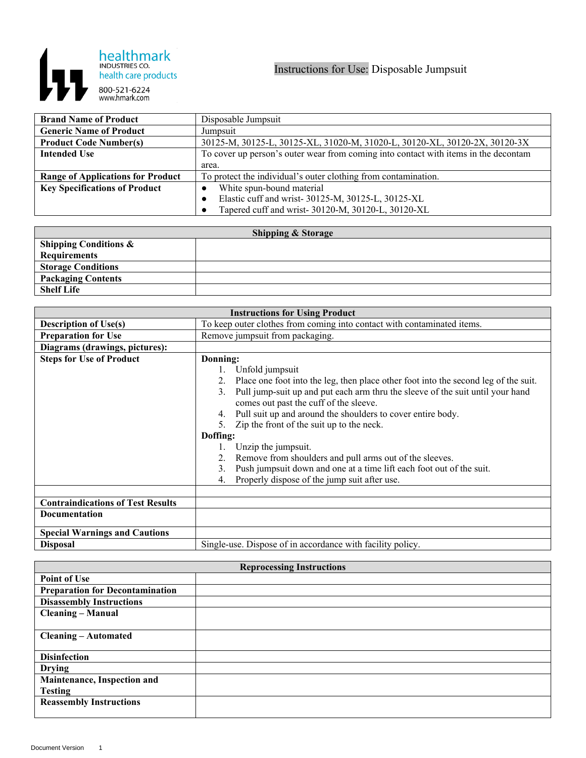

| <b>Brand Name of Product</b>             | Disposable Jumpsuit                                                                 |
|------------------------------------------|-------------------------------------------------------------------------------------|
| <b>Generic Name of Product</b>           | Jumpsuit                                                                            |
| <b>Product Code Number(s)</b>            | 30125-M, 30125-L, 30125-XL, 31020-M, 31020-L, 30120-XL, 30120-2X, 30120-3X          |
| <b>Intended Use</b>                      | To cover up person's outer wear from coming into contact with items in the decontam |
|                                          | area.                                                                               |
| <b>Range of Applications for Product</b> | To protect the individual's outer clothing from contamination.                      |
| <b>Key Specifications of Product</b>     | White spun-bound material                                                           |
|                                          | Elastic cuff and wrist- 30125-M, 30125-L, 30125-XL                                  |
|                                          | Tapered cuff and wrist- 30120-M, 30120-L, 30120-XL                                  |

| <b>Shipping &amp; Storage</b>    |  |  |
|----------------------------------|--|--|
| <b>Shipping Conditions &amp;</b> |  |  |
| <b>Requirements</b>              |  |  |
| <b>Storage Conditions</b>        |  |  |
| <b>Packaging Contents</b>        |  |  |
| <b>Shelf Life</b>                |  |  |

| <b>Instructions for Using Product</b>    |                                                                                                                                |
|------------------------------------------|--------------------------------------------------------------------------------------------------------------------------------|
| <b>Description of Use(s)</b>             | To keep outer clothes from coming into contact with contaminated items.                                                        |
| <b>Preparation for Use</b>               | Remove jumpsuit from packaging.                                                                                                |
| Diagrams (drawings, pictures):           |                                                                                                                                |
| <b>Steps for Use of Product</b>          | Donning:                                                                                                                       |
|                                          | 1. Unfold jumpsuit                                                                                                             |
|                                          | Place one foot into the leg, then place other foot into the second leg of the suit.                                            |
|                                          | Pull jump-suit up and put each arm thru the sleeve of the suit until your hand<br>3.<br>comes out past the cuff of the sleeve. |
|                                          | Pull suit up and around the shoulders to cover entire body.<br>4.                                                              |
|                                          | Zip the front of the suit up to the neck.<br>5.                                                                                |
|                                          | Doffing:                                                                                                                       |
|                                          | Unzip the jumpsuit.                                                                                                            |
|                                          | Remove from shoulders and pull arms out of the sleeves.<br>2.                                                                  |
|                                          | Push jumpsuit down and one at a time lift each foot out of the suit.<br>3.                                                     |
|                                          | Properly dispose of the jump suit after use.<br>4.                                                                             |
|                                          |                                                                                                                                |
| <b>Contraindications of Test Results</b> |                                                                                                                                |
| <b>Documentation</b>                     |                                                                                                                                |
| <b>Special Warnings and Cautions</b>     |                                                                                                                                |
| <b>Disposal</b>                          | Single-use. Dispose of in accordance with facility policy.                                                                     |

| <b>Reprocessing Instructions</b>       |  |  |
|----------------------------------------|--|--|
| <b>Point of Use</b>                    |  |  |
| <b>Preparation for Decontamination</b> |  |  |
| <b>Disassembly Instructions</b>        |  |  |
| <b>Cleaning – Manual</b>               |  |  |
|                                        |  |  |
| <b>Cleaning – Automated</b>            |  |  |
|                                        |  |  |
| <b>Disinfection</b>                    |  |  |
| <b>Drying</b>                          |  |  |
| Maintenance, Inspection and            |  |  |
| <b>Testing</b>                         |  |  |
| <b>Reassembly Instructions</b>         |  |  |
|                                        |  |  |